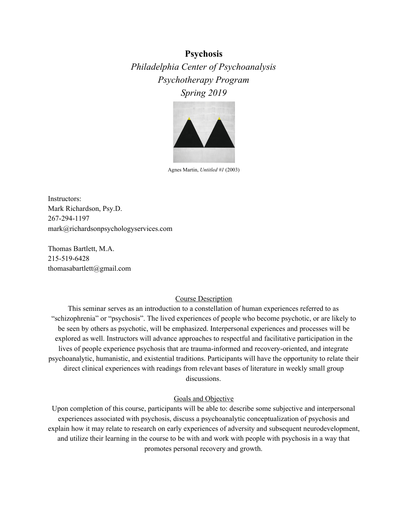**Psychosis** *Philadelphia Center of Psychoanalysis Psychotherapy Program Spring 2019*



Agnes Martin, *Untitled #1* (2003)

Instructors: Mark Richardson, Psy.D. 267-294-1197 mark@richardsonpsychologyservices.com

Thomas Bartlett, M.A. 215-519-6428 thomasabartlett@gmail.com

#### Course Description

This seminar serves as an introduction to a constellation of human experiences referred to as "schizophrenia" or "psychosis". The lived experiences of people who become psychotic, or are likely to be seen by others as psychotic, will be emphasized. Interpersonal experiences and processes will be explored as well. Instructors will advance approaches to respectful and facilitative participation in the lives of people experience psychosis that are trauma-informed and recovery-oriented, and integrate psychoanalytic, humanistic, and existential traditions. Participants will have the opportunity to relate their direct clinical experiences with readings from relevant bases of literature in weekly small group discussions.

#### Goals and Objective

Upon completion of this course, participants will be able to: describe some subjective and interpersonal experiences associated with psychosis, discuss a psychoanalytic conceptualization of psychosis and explain how it may relate to research on early experiences of adversity and subsequent neurodevelopment, and utilize their learning in the course to be with and work with people with psychosis in a way that promotes personal recovery and growth.